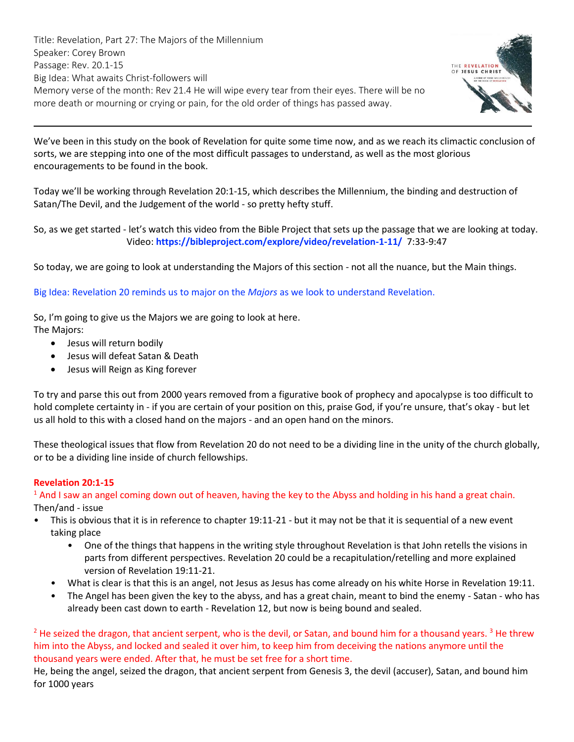Title: Revelation, Part 27: The Majors of the Millennium Speaker: Corey Brown Passage: Rev. 20.1-15 Big Idea: What awaits Christ-followers will Memory verse of the month: Rev 21.4 He will wipe every tear from their eyes. There will be no more death or mourning or crying or pain, for the old order of things has passed away.



We've been in this study on the book of Revelation for quite some time now, and as we reach its climactic conclusion of sorts, we are stepping into one of the most difficult passages to understand, as well as the most glorious encouragements to be found in the book.

Today we'll be working through [Revelation 20:1-15,](https://ref.ly/logosref/Bible.Re20.1-15) which describes the Millennium, the binding and destruction of Satan/The Devil, and the Judgement of the world - so pretty hefty stuff.

So, as we get started - let's watch this video from the Bible Project that sets up the passage that we are looking at today. Video: **<https://bibleproject.com/explore/video/revelation-1-11/>** 7:33-9:47

So today, we are going to look at understanding the Majors of this section - not all the nuance, but the Main things.

Big Idea: [Revelation 20](https://ref.ly/logosref/Bible.Re20) reminds us to major on the *Majors* as we look to understand Revelation.

So, I'm going to give us the Majors we are going to look at here. The Majors:

- Jesus will return bodily
- Jesus will defeat Satan & Death
- Jesus will Reign as King forever

To try and parse this out from 2000 years removed from a figurative book of prophecy and apocalypse is too difficult to hold complete certainty in - if you are certain of your position on this, praise God, if you're unsure, that's okay - but let us all hold to this with a closed hand on the majors - and an open hand on the minors.

These theological issues that flow from [Revelation 20](https://ref.ly/logosref/Bible.Re20) do not need to be a dividing line in the unity of the church globally, or to be a dividing line inside of church fellowships.

### **Revelation 20:1-15**

 $<sup>1</sup>$  And I saw an angel coming down out of heaven, having the key to the Abyss and holding in his hand a great chain.</sup> Then/and - issue

- This is obvious that it is in reference to chapter 19:11-21 but it may not be that it is sequential of a new event taking place
	- One of the things that happens in the writing style throughout Revelation is that John retells the visions in parts from different perspectives. [Revelation](https://ref.ly/logosref/Bible.Re20) 20 could be a recapitulation/retelling and more explained version of [Revelation](https://ref.ly/logosref/Bible.Re19.11-21) 19:11-21.
	- What is clear is that this is an angel, not Jesus as Jesus has come already on his white Horse in [Revelation](https://ref.ly/logosref/Bible.Re19.11) 19:11.
	- The Angel has been given the key to the abyss, and has a great chain, meant to bind the enemy Satan who has already been cast down to earth - [Revelation](https://ref.ly/logosref/Bible.Re12) 12, but now is being bound and sealed.

<sup>2</sup> He seized the dragon, that ancient serpent, who is the devil, or Satan, and bound him for a thousand years.<sup>3</sup> He threw him into the Abyss, and locked and sealed it over him, to keep him from deceiving the nations anymore until the thousand years were ended. After that, he must be set free for a short time.

He, being the angel, seized the dragon, that ancient serpent from [Genesis 3,](https://ref.ly/logosref/Bible.Ge3) the devil (accuser), Satan, and bound him for 1000 years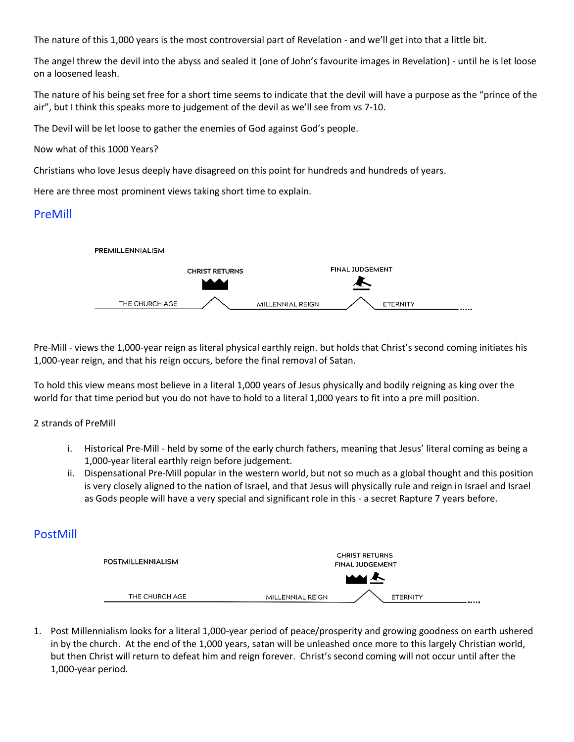The nature of this 1,000 years is the most controversial part of Revelation - and we'll get into that a little bit.

The angel threw the devil into the abyss and sealed it (one of John's favourite images in Revelation) - until he is let loose on a loosened leash.

The nature of his being set free for a short time seems to indicate that the devil will have a purpose as the "prince of the air", but I think this speaks more to judgement of the devil as we'll see from vs 7-10.

The Devil will be let loose to gather the enemies of God against God's people.

Now what of this 1000 Years?

Christians who love Jesus deeply have disagreed on this point for hundreds and hundreds of years.

Here are three most prominent views taking short time to explain.

# PreMill



Pre-Mill - views the 1,000-year reign as literal physical earthly reign. but holds that Christ's second coming initiates his 1,000-year reign, and that his reign occurs, before the final removal of Satan.

To hold this view means most believe in a literal 1,000 years of Jesus physically and bodily reigning as king over the world for that time period but you do not have to hold to a literal 1,000 years to fit into a pre mill position.

### 2 strands of PreMill

- i. Historical Pre-Mill held by some of the early church fathers, meaning that Jesus' literal coming as being a 1,000-year literal earthly reign before judgement.
- ii. Dispensational Pre-Mill popular in the western world, but not so much as a global thought and this position is very closely aligned to the nation of Israel, and that Jesus will physically rule and reign in Israel and Israel as Gods people will have a very special and significant role in this - a secret Rapture 7 years before.

# PostMill



1. Post Millennialism looks for a literal 1,000-year period of peace/prosperity and growing goodness on earth ushered in by the church. At the end of the 1,000 years, satan will be unleashed once more to this largely Christian world, but then Christ will return to defeat him and reign forever. Christ's second coming will not occur until after the 1,000-year period.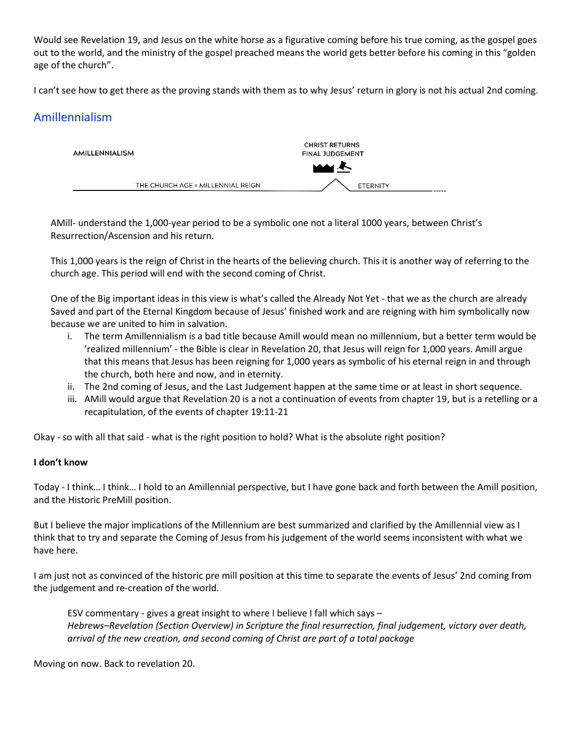Would see [Revelation 19,](https://ref.ly/logosref/Bible.Re19) and Jesus on the white horse as a figurative coming before his true coming, as the gospel goes out to the world, and the ministry of the gospel preached means the world gets better before his coming in this "golden age of the church".

I can't see how to get there as the proving stands with them as to why Jesus' return in glory is not his actual 2nd coming.

# Amillennialism



AMill- understand the 1,000-year period to be a symbolic one not a literal 1000 years, between Christ's Resurrection/Ascension and his return.

This 1,000 years is the reign of Christ in the hearts of the believing church. This it is another way of referring to the church age. This period will end with the second coming of Christ.

One of the Big important ideas in this view is what's called the Already Not Yet - that we as the church are already Saved and part of the Eternal Kingdom because of Jesus' finished work and are reigning with him symbolically now because we are united to him in salvation.

- i. The term Amillennialism is a bad title because Amill would mean no millennium, but a better term would be 'realized millennium' - the Bible is clear i[n Revelation](https://ref.ly/logosref/Bible.Re20) 20, that Jesus will reign for 1,000 years. Amill argue that this means that Jesus has been reigning for 1,000 years as symbolic of his eternal reign in and through the church, both here and now, and in eternity.
- ii. The 2nd coming of Jesus, and the Last Judgement happen at the same time or at least in short sequence.
- iii. AMill would argue that [Revelation](https://ref.ly/logosref/Bible.Re20) 20 is a not a continuation of events from chapter 19, but is a retelling or a recapitulation, of the events of chapter 19:11-21

Okay - so with all that said - what is the right position to hold? What is the absolute right position?

### **I don't know**

Today - I think… I think… I hold to an Amillennial perspective, but I have gone back and forth between the Amill position, and the Historic PreMill position.

But I believe the major implications of the Millennium are best summarized and clarified by the Amillennial view as I think that to try and separate the Coming of Jesus from his judgement of the world seems inconsistent with what we have here.

I am just not as convinced of the historic pre mill position at this time to separate the events of Jesus' 2nd coming from the judgement and re-creation of the world.

ESV commentary - gives a great insight to where I believe I fall which says – *Hebrews–Revelation (Section Overview) in Scripture the final resurrection, final judgement, victory over death, arrival of the new creation, and second coming of Christ are part of a total package*

Moving on now. Back to revelation 20.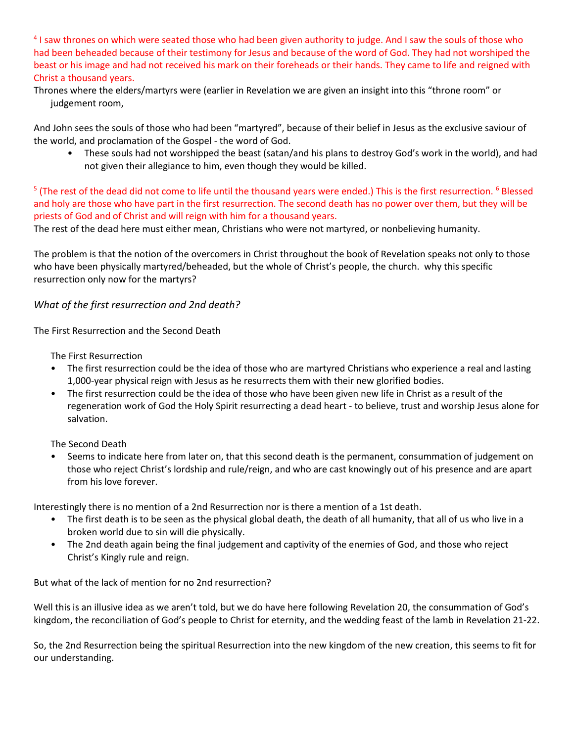<sup>4</sup> I saw thrones on which were seated those who had been given authority to judge. And I saw the souls of those who had been beheaded because of their testimony for Jesus and because of the word of God. They had not worshiped the beast or his image and had not received his mark on their foreheads or their hands. They came to life and reigned with Christ a thousand years.

Thrones where the elders/martyrs were (earlier in Revelation we are given an insight into this "throne room" or judgement room,

And John sees the souls of those who had been "martyred", because of their belief in Jesus as the exclusive saviour of the world, and proclamation of the Gospel - the word of God.

• These souls had not worshipped the beast (satan/and his plans to destroy God's work in the world), and had not given their allegiance to him, even though they would be killed.

<sup>5</sup> (The rest of the dead did not come to life until the thousand years were ended.) This is the first resurrection. <sup>6</sup> Blessed and holy are those who have part in the first resurrection. The second death has no power over them, but they will be priests of God and of Christ and will reign with him for a thousand years.

The rest of the dead here must either mean, Christians who were not martyred, or nonbelieving humanity.

The problem is that the notion of the overcomers in Christ throughout the book of Revelation speaks not only to those who have been physically martyred/beheaded, but the whole of Christ's people, the church. why this specific resurrection only now for the martyrs?

# *What of the first resurrection and 2nd death?*

The First Resurrection and the Second Death

The First Resurrection

- The first resurrection could be the idea of those who are martyred Christians who experience a real and lasting 1,000-year physical reign with Jesus as he resurrects them with their new glorified bodies.
- The first resurrection could be the idea of those who have been given new life in Christ as a result of the regeneration work of God the Holy Spirit resurrecting a dead heart - to believe, trust and worship Jesus alone for salvation.

The Second Death

• Seems to indicate here from later on, that this second death is the permanent, consummation of judgement on those who reject Christ's lordship and rule/reign, and who are cast knowingly out of his presence and are apart from his love forever.

Interestingly there is no mention of a 2nd Resurrection nor is there a mention of a 1st death.

- The first death is to be seen as the physical global death, the death of all humanity, that all of us who live in a broken world due to sin will die physically.
- The 2nd death again being the final judgement and captivity of the enemies of God, and those who reject Christ's Kingly rule and reign.

But what of the lack of mention for no 2nd resurrection?

Well this is an illusive idea as we aren't told, but we do have here following Revelation 20, the consummation of God's kingdom, the reconciliation of God's people to Christ for eternity, and the wedding feast of the lamb i[n Revelation](https://ref.ly/logosref/Bible.Re21-22) 21-22.

So, the 2nd Resurrection being the spiritual Resurrection into the new kingdom of the new creation, this seems to fit for our understanding.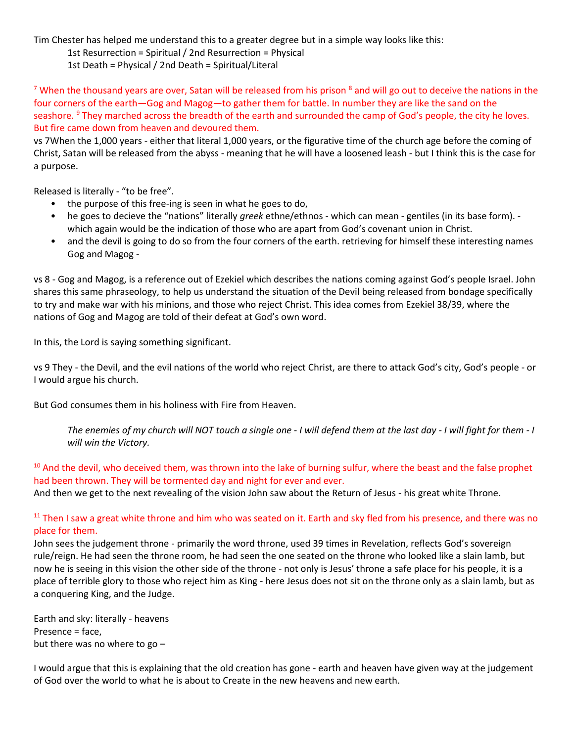Tim Chester has helped me understand this to a greater degree but in a simple way looks like this:

1st Resurrection = Spiritual / 2nd Resurrection = Physical

1st Death = Physical / 2nd Death = Spiritual/Literal

<sup>7</sup> When the thousand years are over, Satan will be released from his prison  $^8$  and will go out to deceive the nations in the four corners of the earth—Gog and Magog—to gather them for battle. In number they are like the sand on the seashore. <sup>9</sup> They marched across the breadth of the earth and surrounded the camp of God's people, the city he loves. But fire came down from heaven and devoured them.

vs 7When the 1,000 years - either that literal 1,000 years, or the figurative time of the church age before the coming of Christ, Satan will be released from the abyss - meaning that he will have a loosened leash - but I think this is the case for a purpose.

Released is literally - "to be free".

- the purpose of this free-ing is seen in what he goes to do,
- he goes to decieve the "nations" literally *greek* ethne/ethnos which can mean gentiles (in its base form). which again would be the indication of those who are apart from God's covenant union in Christ.
- and the devil is going to do so from the four corners of the earth. retrieving for himself these interesting names Gog and Magog -

vs 8 - Gog and Magog, is a reference out of Ezekiel which describes the nations coming against God's people Israel. John shares this same phraseology, to help us understand the situation of the Devil being released from bondage specifically to try and make war with his minions, and those who reject Christ. This idea comes from [Ezekiel 38/](https://ref.ly/logosref/Bible.Eze38)39, where the nations of Gog and Magog are told of their defeat at God's own word.

In this, the Lord is saying something significant.

vs 9 They - the Devil, and the evil nations of the world who reject Christ, are there to attack God's city, God's people - or I would argue his church.

But God consumes them in his holiness with Fire from Heaven.

*The enemies of my church will NOT touch a single one - I will defend them at the last day - I will fight for them - I will win the Victory.*

<sup>10</sup> And the devil, who deceived them, was thrown into the lake of burning sulfur, where the beast and the false prophet had been thrown. They will be tormented day and night for ever and ever. And then we get to the next revealing of the vision John saw about the Return of Jesus - his great white Throne.

# $11$  Then I saw a great white throne and him who was seated on it. Earth and sky fled from his presence, and there was no place for them.

John sees the judgement throne - primarily the word throne, used 39 times in Revelation, reflects God's sovereign rule/reign. He had seen the throne room, he had seen the one seated on the throne who looked like a slain lamb, but now he is seeing in this vision the other side of the throne - not only is Jesus' throne a safe place for his people, it is a place of terrible glory to those who reject him as King - here Jesus does not sit on the throne only as a slain lamb, but as a conquering King, and the Judge.

Earth and sky: literally - heavens Presence = face, but there was no where to go –

I would argue that this is explaining that the old creation has gone - earth and heaven have given way at the judgement of God over the world to what he is about to Create in the new heavens and new earth.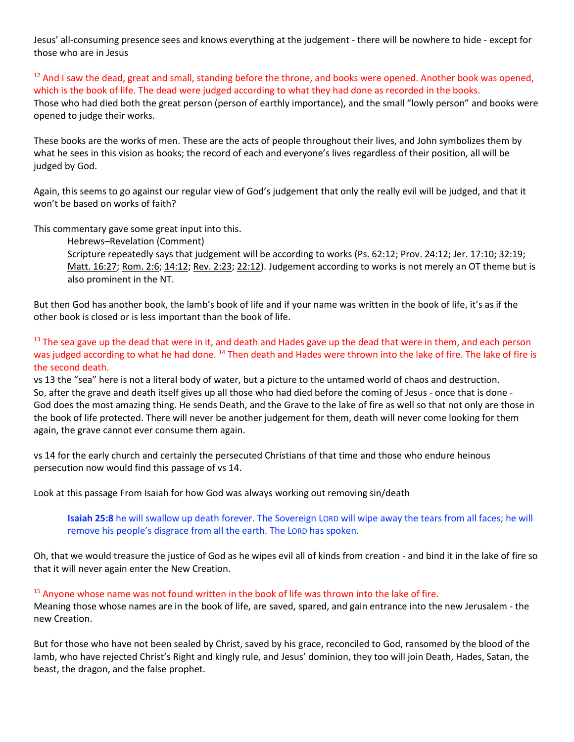Jesus' all-consuming presence sees and knows everything at the judgement - there will be nowhere to hide - except for those who are in Jesus

 $12$  And I saw the dead, great and small, standing before the throne, and books were opened. Another book was opened, which is the book of life. The dead were judged according to what they had done as recorded in the books. Those who had died both the great person (person of earthly importance), and the small "lowly person" and books were opened to judge their works.

These books are the works of men. These are the acts of people throughout their lives, and John symbolizes them by what he sees in this vision as books; the record of each and everyone's lives regardless of their position, all will be judged by God.

Again, this seems to go against our regular view of God's judgement that only the really evil will be judged, and that it won't be based on works of faith?

This commentary gave some great input into this.

Hebrews–Revelation (Comment)

Scripture repeatedly says that judgement will be according to works [\(Ps. 62:12;](https://ref.ly/logosref/Bible.Ps62.12) [Prov. 24:12;](https://ref.ly/logosref/Bible.Pr24.12) [Jer. 17:10;](https://ref.ly/logosref/Bible.Je17.10) [32:19;](https://ref.ly/logosref/Bible.Je32.19) [Matt. 16:27;](https://ref.ly/logosref/Bible.Mt16.27) [Rom. 2:6;](https://ref.ly/logosref/Bible.Ro2.6) [14:12;](https://ref.ly/logosref/Bible.Ro14.12) [Rev. 2:23;](https://ref.ly/logosref/Bible.Re2.23) [22:12\)](https://ref.ly/logosref/Bible.Re22.12). Judgement according to works is not merely an OT theme but is also prominent in the NT.

But then God has another book, the lamb's book of life and if your name was written in the book of life, it's as if the other book is closed or is less important than the book of life.

<sup>13</sup> The sea gave up the dead that were in it, and death and Hades gave up the dead that were in them, and each person was judged according to what he had done. <sup>14</sup> Then death and Hades were thrown into the lake of fire. The lake of fire is the second death.

vs 13 the "sea" here is not a literal body of water, but a picture to the untamed world of chaos and destruction. So, after the grave and death itself gives up all those who had died before the coming of Jesus - once that is done - God does the most amazing thing. He sends Death, and the Grave to the lake of fire as well so that not only are those in the book of life protected. There will never be another judgement for them, death will never come looking for them again, the grave cannot ever consume them again.

vs 14 for the early church and certainly the persecuted Christians of that time and those who endure heinous persecution now would find this passage of vs 14.

Look at this passage From Isaiah for how God was always working out removing sin/death

**Isaiah 25:8** he will swallow up death forever. The Sovereign LORD will wipe away the tears from all faces; he will remove his people's disgrace from all the earth. The LORD has spoken.

Oh, that we would treasure the justice of God as he wipes evil all of kinds from creation - and bind it in the lake of fire so that it will never again enter the New Creation.

<sup>15</sup> Anyone whose name was not found written in the book of life was thrown into the lake of fire.

Meaning those whose names are in the book of life, are saved, spared, and gain entrance into the new Jerusalem - the new Creation.

But for those who have not been sealed by Christ, saved by his grace, reconciled to God, ransomed by the blood of the lamb, who have rejected Christ's Right and kingly rule, and Jesus' dominion, they too will join Death, Hades, Satan, the beast, the dragon, and the false prophet.